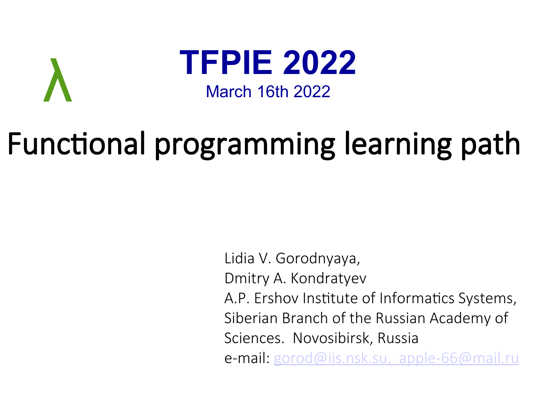

λ

# Functional programming learning path

Lidia V. Gorodnyaya, Dmitry A. Kondratyev A.P. Ershov Institute of Informatics Systems, Siberian Branch of the Russian Academy of Sciences. Novosibirsk, Russia e-mail: [gorod@iis.nsk.su,](mailto:gorod@iis.nsk.su) [apple-66@mail.ru](mailto:apple-66@mail.ru)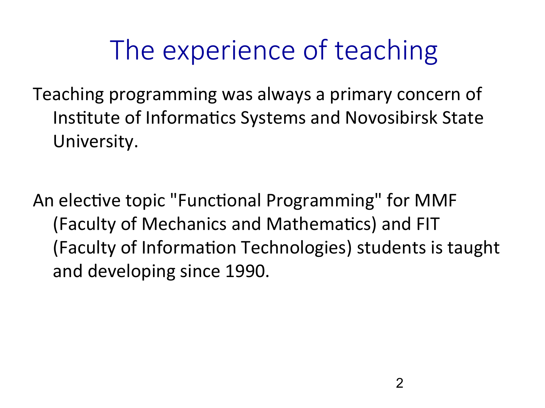## The experience of teaching

Teaching programming was always a primary concern of Institute of Informatics Systems and Novosibirsk State University.

An elective topic "Functional Programming" for MMF (Faculty of Mechanics and Mathematics) and FIT (Faculty of Information Technologies) students is taught and developing since 1990.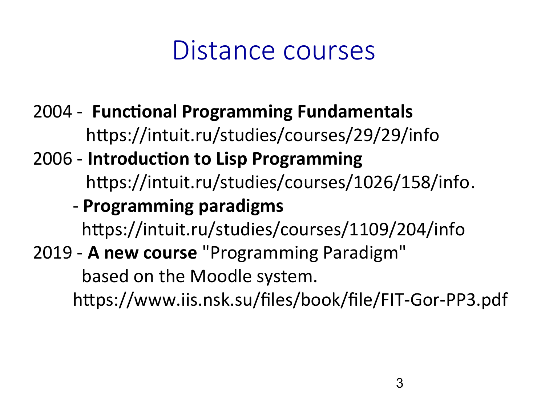#### Distance courses

2004 - **Functional Programming Fundamentals** https://intuit.ru/studies/courses/29/29/info

#### 2006 - **Introduction to Lisp Programming** https://intuit.ru/studies/courses/1026/158/info.

#### - **Programming paradigms**

https://intuit.ru/studies/courses/1109/204/info

#### 2019 - **A new course** "Programming Paradigm"

based on the Moodle system.

https://www.iis.nsk.su/files/book/file/FIT-Gor-PP3.pdf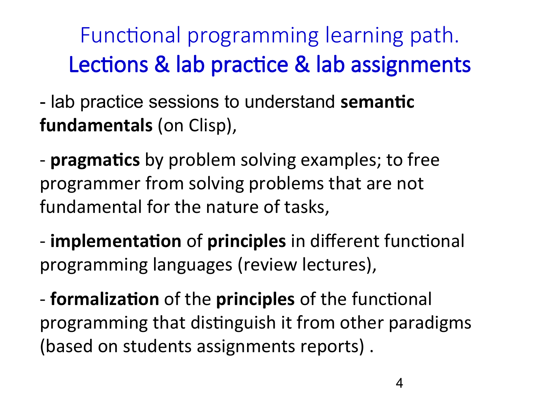ו<br>i Functional programming learning path. Lections & lab practice & lab assignments

 - lab practice sessions to understand **semantic fundamentals** (on Clisp),

- **pragmatics** by problem solving examples; to free programmer from solving problems that are not fundamental for the nature of tasks,

- **implementation** of **principles** in different functional programming languages (review lectures),

- **formalization** of the **principles** of the functional programming that distinguish it from other paradigms (based on students assignments reports) .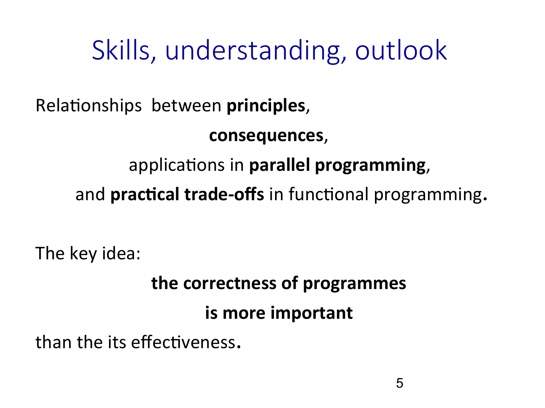### Skills, understanding, outlook

Relationships between **principles**,

**consequences**,

applications in **parallel programming**,

and **practical trade-offs** in functional programming**.**

The key idea:

## **the correctness of programmes**

#### **is more important**

than the its effectiveness**.**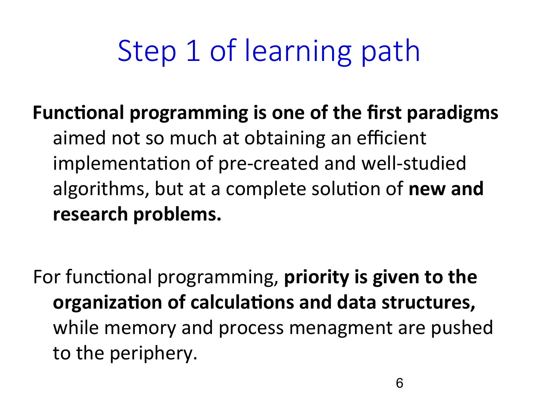# Step 1 of learning path

#### **Functional programming is one of the first paradigms** aimed not so much at obtaining an efficient implementation of pre-created and well-studied algorithms, but at a complete solution of **new and research problems.**

For functional programming, **priority is given to the organization of calculations and data structures,**  while memory and process menagment are pushed to the periphery.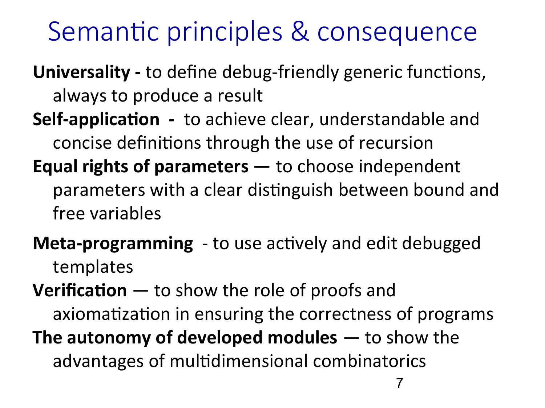#### Semantic principles & consequence

**Universality -** to define debug-friendly generic functions, always to produce a result

- **Self-application** to achieve clear, understandable and concise definitions through the use of recursion
- **Equal rights of parameters** to choose independent parameters with a clear distinguish between bound and free variables
- **Meta-programming**  to use actively and edit debugged templates

**Verification** — to show the role of proofs and axiomatization in ensuring the correctness of programs **The autonomy of developed modules** — to show the advantages of multidimensional combinatorics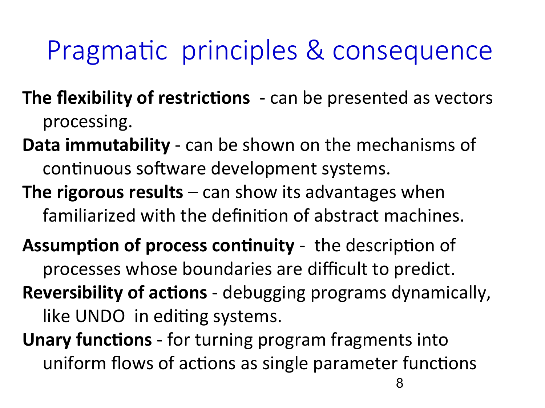### Pragmatic principles & consequence

- **The flexibility of restrictions** can be presented as vectors processing.
- **Data immutability** can be shown on the mechanisms of continuous software development systems.
- **The rigorous results** can show its advantages when familiarized with the definition of abstract machines.
- **Assumption of process continuity** the description of processes whose boundaries are difficult to predict. **Reversibility of actions** - debugging programs dynamically, like UNDO in editing systems.
- **Unary functions** for turning program fragments into uniform flows of actions as single parameter functions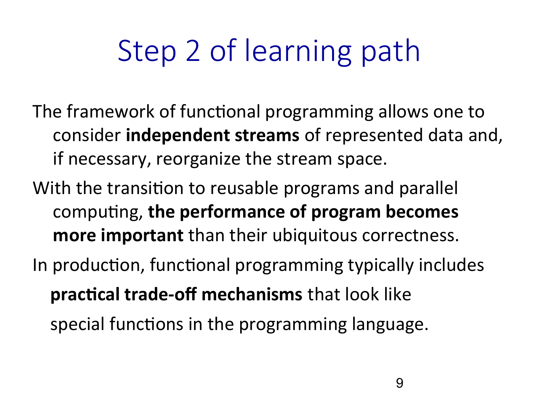# Step 2 of learning path

- The framework of functional programming allows one to consider **independent streams** of represented data and, if necessary, reorganize the stream space.
- With the transition to reusable programs and parallel computing, **the performance of program becomes more important** than their ubiquitous correctness.
- In production, functional programming typically includes **practical trade-off mechanisms** that look like special functions in the programming language.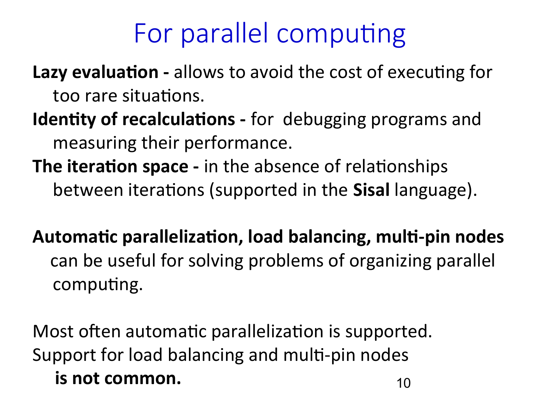### For parallel computing

Lazy evaluation - allows to avoid the cost of executing for too rare situations.

- **Identity of recalculations** for debugging programs and measuring their performance.
- **The iteration space** in the absence of relationships between iterations (supported in the **Sisal** language).
- **Automatic parallelization, load balancing, multi-pin nodes**  can be useful for solving problems of organizing parallel computing.

10 Most often automatic parallelization is supported. Support for load balancing and multi-pin nodes **is not common.**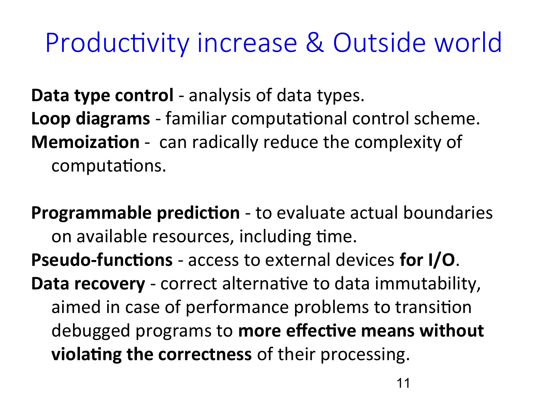### Productivity increase & Outside world

**Data type control** - analysis of data types. **Loop diagrams** - familiar computational control scheme. **Memoization** - can radically reduce the complexity of computations.

**Programmable prediction** - to evaluate actual boundaries on available resources, including time. **Pseudo-functions** - access to external devices **for I/O**. **Data recovery** - correct alternative to data immutability, aimed in case of performance problems to transition debugged programs to **more effective means without violating the correctness** of their processing.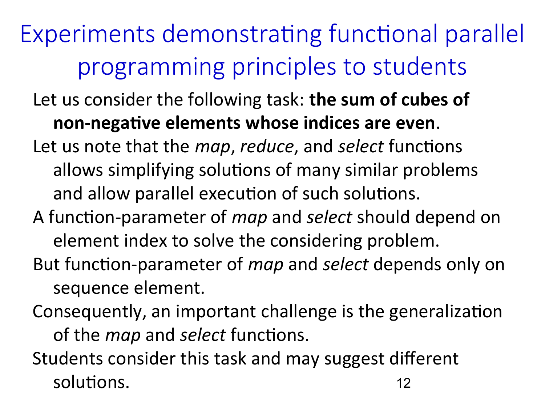- $\overline{a}$ Let us consider the following task: **the sum of cubes of non-negative elements whose indices are even**. Let us note that the *map*, *reduce*, and *select* functions allows simplifying solutions of many similar problems and allow parallel execution of such solutions.
- A function-parameter of *map* and *select* should depend on element index to solve the considering problem.
- But function-parameter of *map* and *select* depends only on sequence element.
- Consequently, an important challenge is the generalization of the *map* and *select* functions.

12 Students consider this task and may suggest different solutions.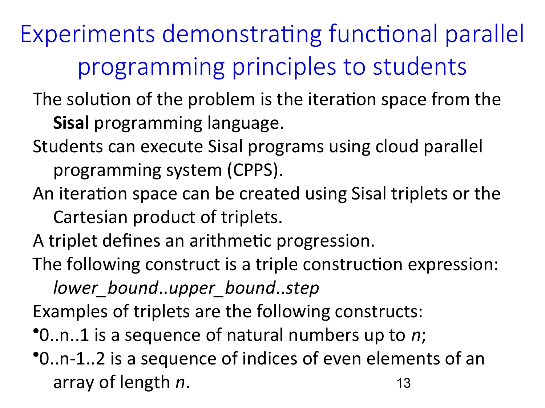J. The solution of the problem is the iteration space from the **Sisal** programming language.

- Students can execute Sisal programs using cloud parallel programming system (CPPS).
- An iteration space can be created using Sisal triplets or the Cartesian product of triplets.

A triplet defines an arithmetic progression.

The following construct is a triple construction expression:

*lower\_bound*..*upper\_bound*..*step*

Examples of triplets are the following constructs:

•0..n..1 is a sequence of natural numbers up to *n*;

13 •0..n-1..2 is a sequence of indices of even elements of an array of length *n*.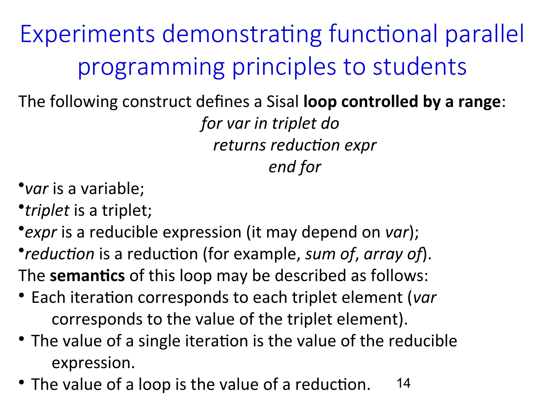$\overline{\phantom{a}}$ The following construct defines a Sisal **loop controlled by a range**: *for var in triplet do returns reduction expr end for*

- •*var* is a variable;
- •*triplet* is a triplet;
- •*expr* is a reducible expression (it may depend on *var*);
- •*reduction* is a reduction (for example, *sum of*, *array of*). The **semantics** of this loop may be described as follows:
- Each iteration corresponds to each triplet element (*var* corresponds to the value of the triplet element).
- The value of a single iteration is the value of the reducible expression.
- 14 • The value of a loop is the value of a reduction.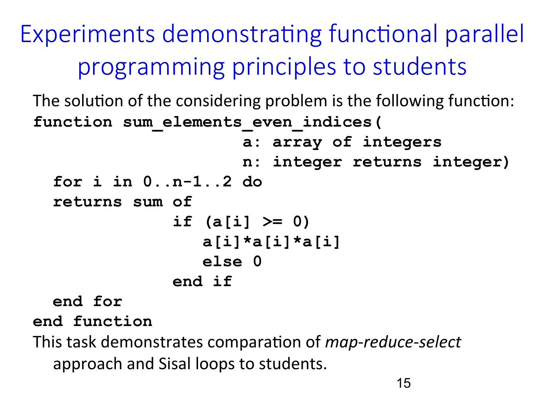**function sum\_elements\_even\_indices(** The solution of the considering problem is the following function:  **a: array of integers n: integer returns integer) for i in 0..n-1..2 do returns sum of if (a[i] >= 0) a[i]\*a[i]\*a[i] else 0 end if**

 **end for**

**end function**

This task demonstrates comparation of *map*-*reduce*-*select* approach and Sisal loops to students.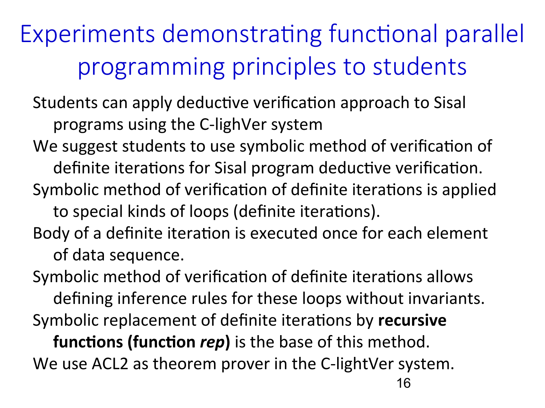$\overline{a}$ Students can apply deductive verification approach to Sisal programs using the C-lighVer system

- We suggest students to use symbolic method of verification of definite iterations for Sisal program deductive verification.
- Symbolic method of verification of definite iterations is applied to special kinds of loops (definite iterations).
- Body of a definite iteration is executed once for each element of data sequence.

Symbolic method of verification of definite iterations allows defining inference rules for these loops without invariants. Symbolic replacement of definite iterations by **recursive** 

**functions (function** *rep***)** is the base of this method. We use ACL2 as theorem prover in the C-lightVer system.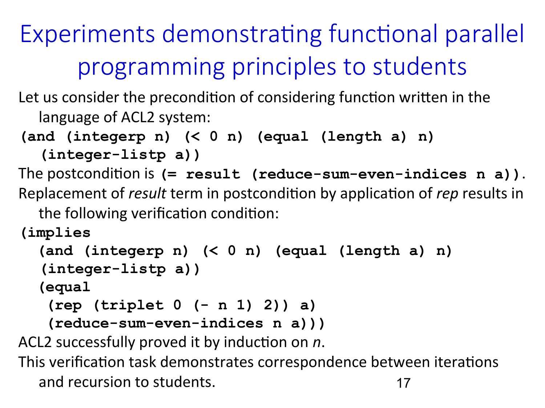language of ACL2 system: Let us consider the precondition of considering function written in the

```
(and (integerp n) (< 0 n) (equal (length a) n)
```

```
(integer-listp a))
```
The postcondition is **(= result (reduce-sum-even-indices n a))**. Replacement of *result* term in postcondition by application of *rep* results in

the following verification condition:

**(implies**

```
 (and (integerp n) (< 0 n) (equal (length a) n) 
(integer-listp a))
```
 **(equal**

```
 (rep (triplet 0 (- n 1) 2)) a)
```

```
 (reduce-sum-even-indices n a)))
```
ACL2 successfully proved it by induction on *n*.

17 This verification task demonstrates correspondence between iterations and recursion to students.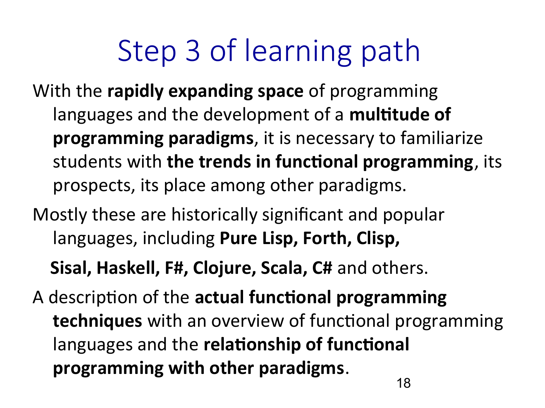# Step 3 of learning path

- With the **rapidly expanding space** of programming languages and the development of a **multitude of programming paradigms**, it is necessary to familiarize students with **the trends in functional programming**, its prospects, its place among other paradigms.
- Mostly these are historically significant and popular languages, including **Pure Lisp, Forth, Clisp,**

 **Sisal, Haskell, F#, Clojure, Scala, C#** and others.

A description of the **actual functional programming techniques** with an overview of functional programming languages and the **relationship of functional programming with other paradigms**.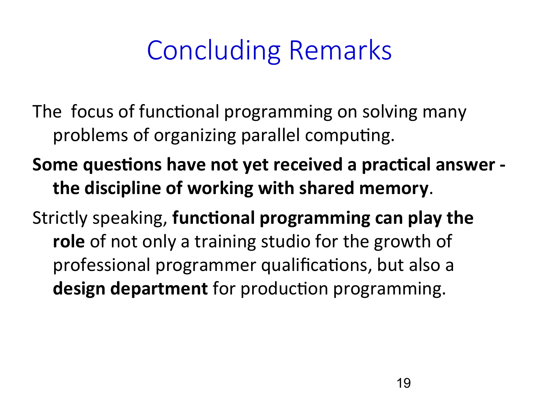## Concluding Remarks

- The focus of functional programming on solving many problems of organizing parallel computing.
- **Some questions have not yet received a practical answer the discipline of working with shared memory**.
- Strictly speaking, **functional programming can play the role** of not only a training studio for the growth of professional programmer qualifications, but also a **design department** for production programming.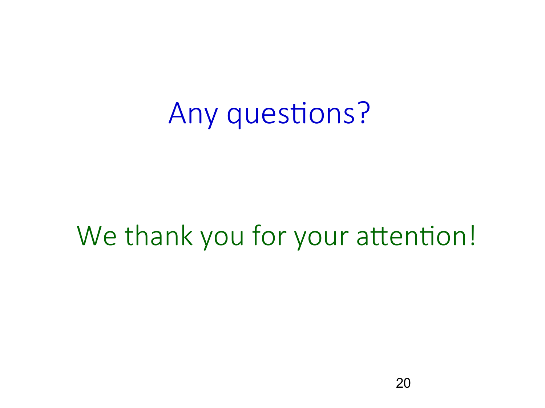## Any questions?

#### We thank you for your attention!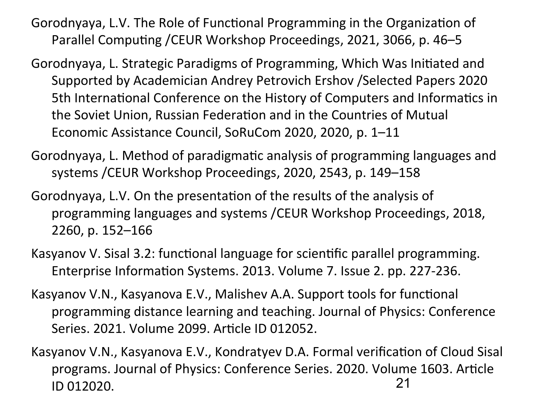- [Gorodnyaya, L.V](https://www.scopus.com/authid/detail.uri?authorId=6504286072). The Role of Functional Programming in the Organization of Parallel Computing /[CEUR Workshop Proceedings](https://www.scopus.com/authid/detail.uri?authorId=6504286072#disabled), 2021, 3066, p. 46–5
- [Gorodnyaya, L.](https://www.scopus.com/authid/detail.uri?authorId=6504286072) Strategic Paradigms of Programming, Which Was Initiated and Supported by Academician Andrey Petrovich Ershov /Selected Papers 2020 5th International Conference on the History of Computers and Informatics in the Soviet Union, Russian Federation and in the Countries of Mutual Economic Assistance Council, SoRuCom 2020, 2020, p. 1–11
- [Gorodnyaya, L.](https://www.scopus.com/authid/detail.uri?authorId=6504286072) Method of paradigmatic analysis of programming languages and systems /[CEUR Workshop Proceedings](https://www.scopus.com/authid/detail.uri?authorId=6504286072#disabled), 2020, 2543, p. 149–158
- [Gorodnyaya, L.V](https://www.scopus.com/authid/detail.uri?authorId=6504286072). On the presentation of the results of the analysis of programming languages and systems /[CEUR Workshop Proceedings](https://www.scopus.com/authid/detail.uri?authorId=6504286072#disabled), 2018, 2260, p. 152–166
- Kasyanov V. Sisal 3.2: functional language for scientific parallel programming. Enterprise Information Systems. 2013. Volume 7. Issue 2. pp. 227-236.
- Kasyanov V.N., Kasyanova E.V., Malishev A.A. Support tools for functional programming distance learning and teaching. Journal of Physics: Conference Series. 2021. Volume 2099. Article ID 012052.
- 21 Kasyanov V.N., Kasyanova E.V., Kondratyev D.A. Formal verification of Cloud Sisal programs. Journal of Physics: Conference Series. 2020. Volume 1603. Article ID 012020.